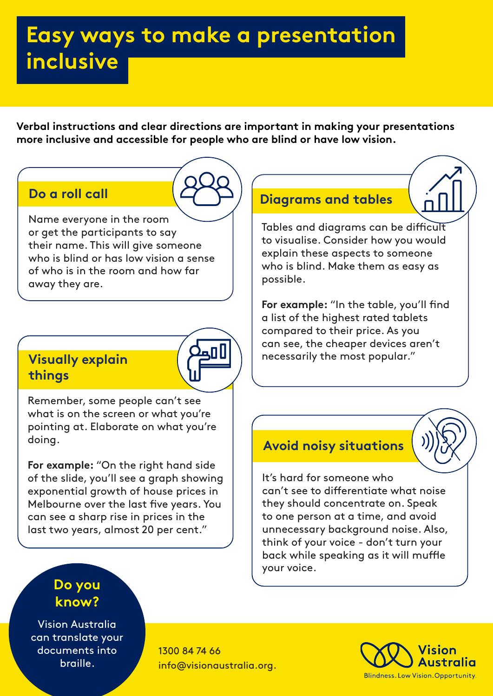# **Easy ways to make a presentation inclusive**

**Verbal instructions and clear directions are important in making your presentations more inclusive and accessible for people who are blind or have low vision.** 

### **Do a roll call**

Name everyone in the room or get the participants to say their name. This will give someone who is blind or has low vision a sense of who is in the room and how far away they are.

### **Visually explain things**



Remember, some people can't see what is on the screen or what you're pointing at. Elaborate on what you're doing.

**For example:** "On the right hand side of the slide, you'll see a graph showing exponential growth of house prices in Melbourne over the last five years. You can see a sharp rise in prices in the last two years, almost 20 per cent."

### **Diagrams and tables**



Tables and diagrams can be difficult to visualise. Consider how you would explain these aspects to someone who is blind. Make them as easy as possible.

**For example:** "In the table, you'll find a list of the highest rated tablets compared to their price. As you can see, the cheaper devices aren't necessarily the most popular."

#### **Avoid noisy situations**

It's hard for someone who can't see to differentiate what noise they should concentrate on. Speak to one person at a time, and avoid unnecessary background noise. Also, think of your voice - don't turn your back while speaking as it will muffle your voice.

#### **Do you know?**

Vision Australia can translate your documents into braille.

1300 84 74 66 info@visionaustralia.org.

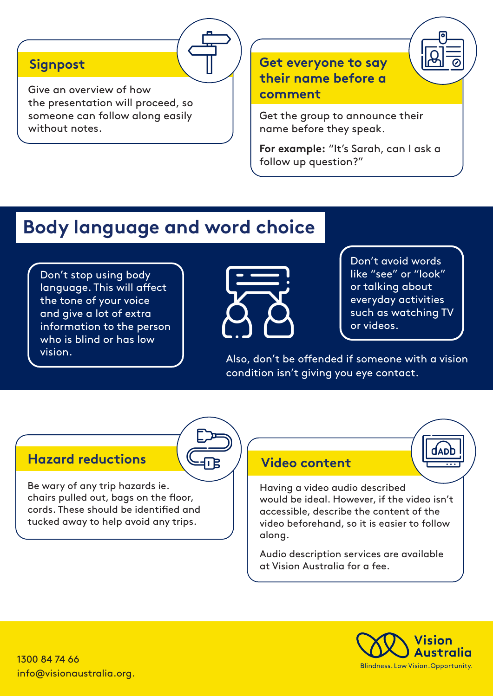#### **Signpost**

Give an overview of how the presentation will proceed, so someone can follow along easily without notes.

#### **Get everyone to say their name before a comment**

Get the group to announce their name before they speak.

**For example:** "It's Sarah, can I ask a follow up question?"

## **Body language and word choice**

Don't stop using body language. This will affect the tone of your voice and give a lot of extra information to the person who is blind or has low



Don't avoid words like "see" or "look" or talking about everyday activities such as watching TV or videos.

vision.  $\begin{pmatrix} \cdot & \cdot & \cdot & \cdot \\ \cdot & \cdot & \cdot & \cdot \\ \cdot & \cdot & \cdot & \cdot \end{pmatrix}$  Also, don't be offended if someone with a vision condition isn't giving you eye contact.

#### **Hazard reductions Video content**

Be wary of any trip hazards ie. chairs pulled out, bags on the floor, cords. These should be identified and tucked away to help avoid any trips.

Having a video audio described would be ideal. However, if the video isn't accessible, describe the content of the video beforehand, so it is easier to follow along.

Audio description services are available at Vision Australia for a fee.